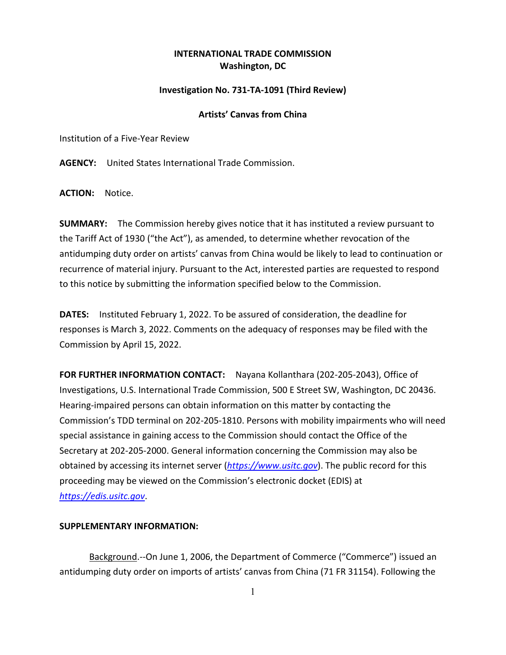## **INTERNATIONAL TRADE COMMISSION Washington, DC**

## **Investigation No. 731-TA-1091 (Third Review)**

## **Artists' Canvas from China**

Institution of a Five-Year Review

**AGENCY:** United States International Trade Commission.

**ACTION:** Notice.

**SUMMARY:** The Commission hereby gives notice that it has instituted a review pursuant to the Tariff Act of 1930 ("the Act"), as amended, to determine whether revocation of the antidumping duty order on artists' canvas from China would be likely to lead to continuation or recurrence of material injury. Pursuant to the Act, interested parties are requested to respond to this notice by submitting the information specified below to the Commission.

**DATES:** Instituted February 1, 2022. To be assured of consideration, the deadline for responses is March 3, 2022. Comments on the adequacy of responses may be filed with the Commission by April 15, 2022.

**FOR FURTHER INFORMATION CONTACT:** Nayana Kollanthara (202-205-2043), Office of Investigations, U.S. International Trade Commission, 500 E Street SW, Washington, DC 20436. Hearing-impaired persons can obtain information on this matter by contacting the Commission's TDD terminal on 202-205-1810. Persons with mobility impairments who will need special assistance in gaining access to the Commission should contact the Office of the Secretary at 202-205-2000. General information concerning the Commission may also be obtained by accessing its internet server (*[https://www.usitc.gov](https://www.usitc.gov/)*). The public record for this proceeding may be viewed on the Commission's electronic docket (EDIS) at *[https://edis.usitc.gov](https://edis.usitc.gov/)*.

## **SUPPLEMENTARY INFORMATION:**

Background.--On June 1, 2006, the Department of Commerce ("Commerce") issued an antidumping duty order on imports of artists' canvas from China (71 FR 31154). Following the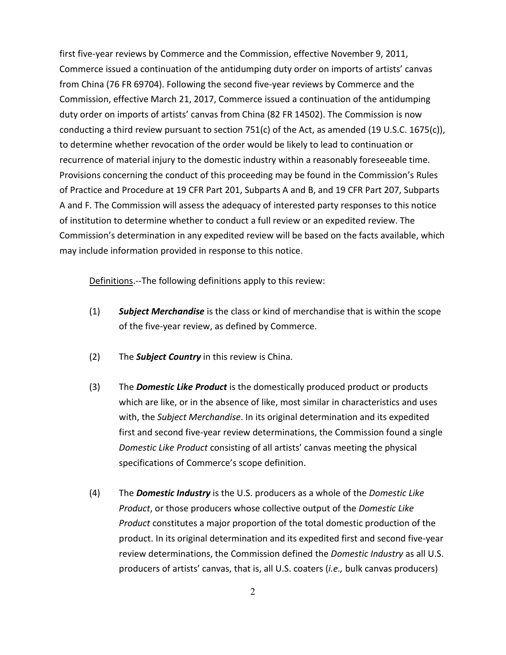first five-year reviews by Commerce and the Commission, effective November 9, 2011, Commerce issued a continuation of the antidumping duty order on imports of artists' canvas from China (76 FR 69704). Following the second five-year reviews by Commerce and the Commission, effective March 21, 2017, Commerce issued a continuation of the antidumping duty order on imports of artists' canvas from China (82 FR 14502). The Commission is now conducting a third review pursuant to section 751(c) of the Act, as amended (19 U.S.C. 1675(c)), to determine whether revocation of the order would be likely to lead to continuation or recurrence of material injury to the domestic industry within a reasonably foreseeable time. Provisions concerning the conduct of this proceeding may be found in the Commission's Rules of Practice and Procedure at 19 CFR Part 201, Subparts A and B, and 19 CFR Part 207, Subparts A and F. The Commission will assess the adequacy of interested party responses to this notice of institution to determine whether to conduct a full review or an expedited review. The Commission's determination in any expedited review will be based on the facts available, which may include information provided in response to this notice.

Definitions.--The following definitions apply to this review:

- (1) *Subject Merchandise* is the class or kind of merchandise that is within the scope of the five-year review, as defined by Commerce.
- (2) The *Subject Country* in this review is China.
- (3) The *Domestic Like Product* is the domestically produced product or products which are like, or in the absence of like, most similar in characteristics and uses with, the *Subject Merchandise*. In its original determination and its expedited first and second five-year review determinations, the Commission found a single *Domestic Like Product* consisting of all artists' canvas meeting the physical specifications of Commerce's scope definition.
- (4) The *Domestic Industry* is the U.S. producers as a whole of the *Domestic Like Product*, or those producers whose collective output of the *Domestic Like Product* constitutes a major proportion of the total domestic production of the product. In its original determination and its expedited first and second five-year review determinations, the Commission defined the *Domestic Industry* as all U.S. producers of artists' canvas, that is, all U.S. coaters (*i.e.,* bulk canvas producers)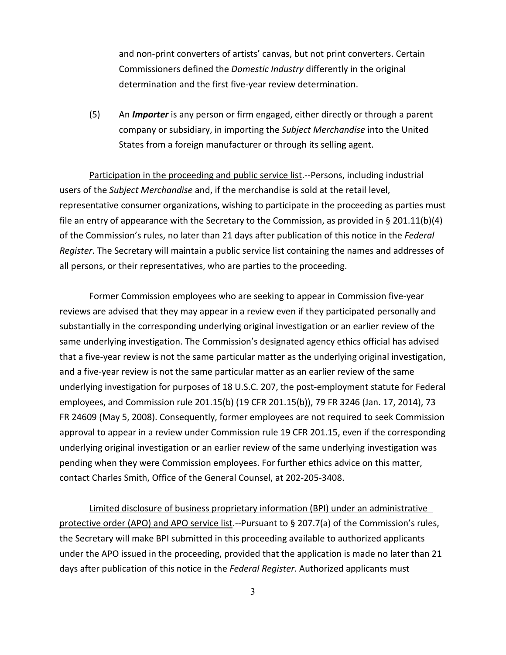and non-print converters of artists' canvas, but not print converters. Certain Commissioners defined the *Domestic Industry* differently in the original determination and the first five-year review determination.

(5) An *Importer* is any person or firm engaged, either directly or through a parent company or subsidiary, in importing the *Subject Merchandise* into the United States from a foreign manufacturer or through its selling agent.

Participation in the proceeding and public service list.--Persons, including industrial users of the *Subject Merchandise* and, if the merchandise is sold at the retail level, representative consumer organizations, wishing to participate in the proceeding as parties must file an entry of appearance with the Secretary to the Commission, as provided in § 201.11(b)(4) of the Commission's rules, no later than 21 days after publication of this notice in the *Federal Register*. The Secretary will maintain a public service list containing the names and addresses of all persons, or their representatives, who are parties to the proceeding.

Former Commission employees who are seeking to appear in Commission five-year reviews are advised that they may appear in a review even if they participated personally and substantially in the corresponding underlying original investigation or an earlier review of the same underlying investigation. The Commission's designated agency ethics official has advised that a five-year review is not the same particular matter as the underlying original investigation, and a five-year review is not the same particular matter as an earlier review of the same underlying investigation for purposes of 18 U.S.C. 207, the post-employment statute for Federal employees, and Commission rule 201.15(b) (19 CFR 201.15(b)), 79 FR 3246 (Jan. 17, 2014), 73 FR 24609 (May 5, 2008). Consequently, former employees are not required to seek Commission approval to appear in a review under Commission rule 19 CFR 201.15, even if the corresponding underlying original investigation or an earlier review of the same underlying investigation was pending when they were Commission employees. For further ethics advice on this matter, contact Charles Smith, Office of the General Counsel, at 202-205-3408.

Limited disclosure of business proprietary information (BPI) under an administrative protective order (APO) and APO service list.--Pursuant to § 207.7(a) of the Commission's rules, the Secretary will make BPI submitted in this proceeding available to authorized applicants under the APO issued in the proceeding, provided that the application is made no later than 21 days after publication of this notice in the *Federal Register*. Authorized applicants must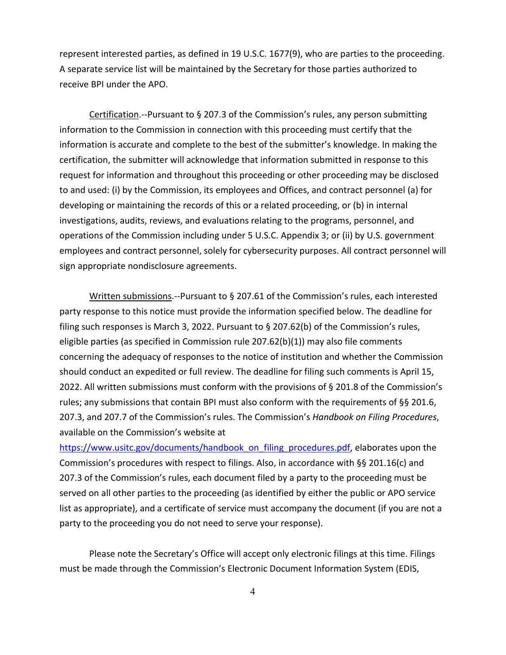represent interested parties, as defined in 19 U.S.C. 1677(9), who are parties to the proceeding. A separate service list will be maintained by the Secretary for those parties authorized to receive BPI under the APO.

Certification.--Pursuant to § 207.3 of the Commission's rules, any person submitting information to the Commission in connection with this proceeding must certify that the information is accurate and complete to the best of the submitter's knowledge. In making the certification, the submitter will acknowledge that information submitted in response to this request for information and throughout this proceeding or other proceeding may be disclosed to and used: (i) by the Commission, its employees and Offices, and contract personnel (a) for developing or maintaining the records of this or a related proceeding, or (b) in internal investigations, audits, reviews, and evaluations relating to the programs, personnel, and operations of the Commission including under 5 U.S.C. Appendix 3; or (ii) by U.S. government employees and contract personnel, solely for cybersecurity purposes. All contract personnel will sign appropriate nondisclosure agreements.

Written submissions.--Pursuant to § 207.61 of the Commission's rules, each interested party response to this notice must provide the information specified below. The deadline for filing such responses is March 3, 2022. Pursuant to § 207.62(b) of the Commission's rules, eligible parties (as specified in Commission rule 207.62(b)(1)) may also file comments concerning the adequacy of responses to the notice of institution and whether the Commission should conduct an expedited or full review. The deadline for filing such comments is April 15, 2022. All written submissions must conform with the provisions of § 201.8 of the Commission's rules; any submissions that contain BPI must also conform with the requirements of §§ 201.6, 207.3, and 207.7 of the Commission's rules. The Commission's *Handbook on Filing Procedures*, available on the Commission's website at

[https://www.usitc.gov/documents/handbook\\_on\\_filing\\_procedures.pdf,](https://www.usitc.gov/documents/handbook_on_filing_procedures.pdf) elaborates upon the Commission's procedures with respect to filings. Also, in accordance with §§ 201.16(c) and 207.3 of the Commission's rules, each document filed by a party to the proceeding must be served on all other parties to the proceeding (as identified by either the public or APO service list as appropriate), and a certificate of service must accompany the document (if you are not a party to the proceeding you do not need to serve your response).

Please note the Secretary's Office will accept only electronic filings at this time. Filings must be made through the Commission's Electronic Document Information System (EDIS,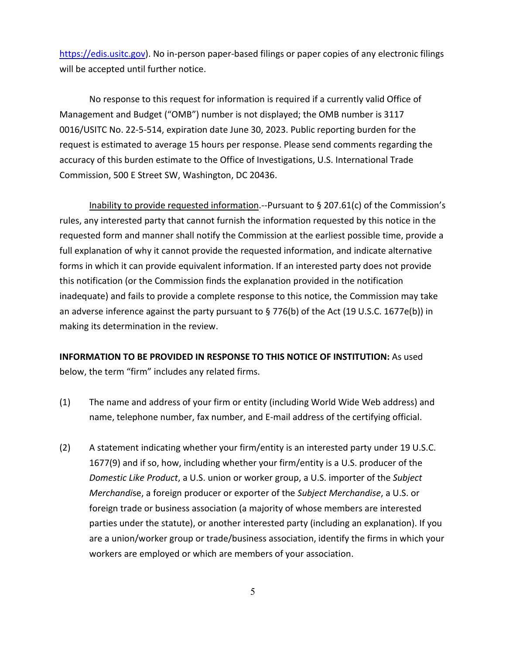[https://edis.usitc.gov\)](https://edis.usitc.gov/). No in-person paper-based filings or paper copies of any electronic filings will be accepted until further notice.

No response to this request for information is required if a currently valid Office of Management and Budget ("OMB") number is not displayed; the OMB number is 3117 0016/USITC No. 22-5-514, expiration date June 30, 2023. Public reporting burden for the request is estimated to average 15 hours per response. Please send comments regarding the accuracy of this burden estimate to the Office of Investigations, U.S. International Trade Commission, 500 E Street SW, Washington, DC 20436.

Inability to provide requested information.--Pursuant to § 207.61(c) of the Commission's rules, any interested party that cannot furnish the information requested by this notice in the requested form and manner shall notify the Commission at the earliest possible time, provide a full explanation of why it cannot provide the requested information, and indicate alternative forms in which it can provide equivalent information. If an interested party does not provide this notification (or the Commission finds the explanation provided in the notification inadequate) and fails to provide a complete response to this notice, the Commission may take an adverse inference against the party pursuant to § 776(b) of the Act (19 U.S.C. 1677e(b)) in making its determination in the review.

**INFORMATION TO BE PROVIDED IN RESPONSE TO THIS NOTICE OF INSTITUTION:** As used below, the term "firm" includes any related firms.

- (1) The name and address of your firm or entity (including World Wide Web address) and name, telephone number, fax number, and E-mail address of the certifying official.
- (2) A statement indicating whether your firm/entity is an interested party under 19 U.S.C. 1677(9) and if so, how, including whether your firm/entity is a U.S. producer of the *Domestic Like Product*, a U.S. union or worker group, a U.S. importer of the *Subject Merchandi*se, a foreign producer or exporter of the *Subject Merchandise*, a U.S. or foreign trade or business association (a majority of whose members are interested parties under the statute), or another interested party (including an explanation). If you are a union/worker group or trade/business association, identify the firms in which your workers are employed or which are members of your association.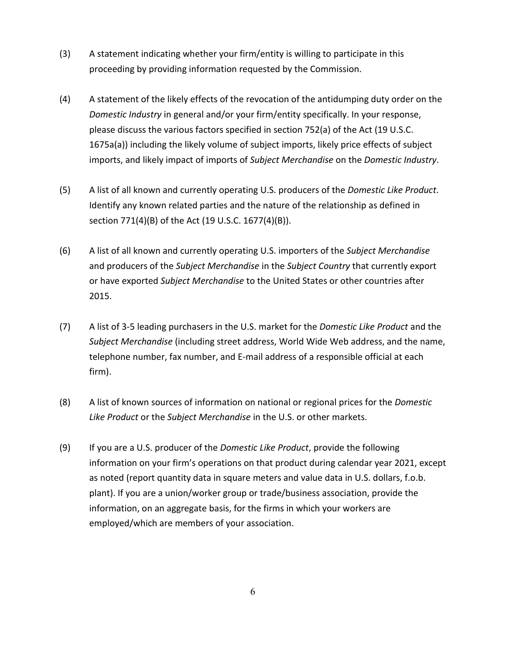- (3) A statement indicating whether your firm/entity is willing to participate in this proceeding by providing information requested by the Commission.
- (4) A statement of the likely effects of the revocation of the antidumping duty order on the *Domestic Industry* in general and/or your firm/entity specifically. In your response, please discuss the various factors specified in section 752(a) of the Act (19 U.S.C. 1675a(a)) including the likely volume of subject imports, likely price effects of subject imports, and likely impact of imports of *Subject Merchandise* on the *Domestic Industry*.
- (5) A list of all known and currently operating U.S. producers of the *Domestic Like Product*. Identify any known related parties and the nature of the relationship as defined in section 771(4)(B) of the Act (19 U.S.C. 1677(4)(B)).
- (6) A list of all known and currently operating U.S. importers of the *Subject Merchandise* and producers of the *Subject Merchandise* in the *Subject Country* that currently export or have exported *Subject Merchandise* to the United States or other countries after 2015.
- (7) A list of 3-5 leading purchasers in the U.S. market for the *Domestic Like Product* and the *Subject Merchandise* (including street address, World Wide Web address, and the name, telephone number, fax number, and E-mail address of a responsible official at each firm).
- (8) A list of known sources of information on national or regional prices for the *Domestic Like Product* or the *Subject Merchandise* in the U.S. or other markets.
- (9) If you are a U.S. producer of the *Domestic Like Product*, provide the following information on your firm's operations on that product during calendar year 2021, except as noted (report quantity data in square meters and value data in U.S. dollars, f.o.b. plant). If you are a union/worker group or trade/business association, provide the information, on an aggregate basis, for the firms in which your workers are employed/which are members of your association.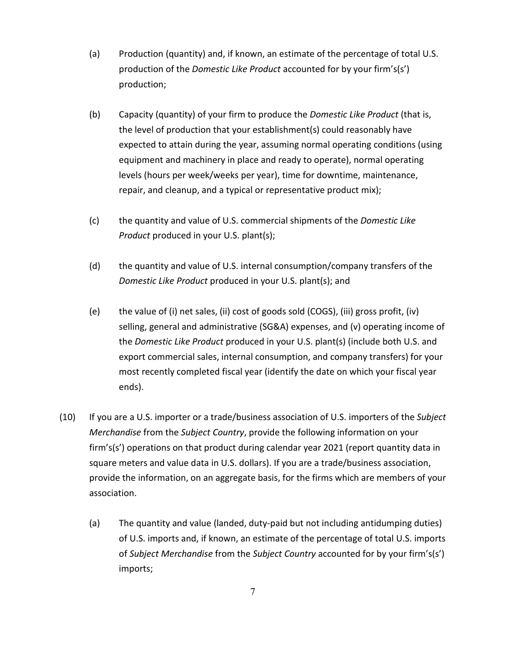- (a) Production (quantity) and, if known, an estimate of the percentage of total U.S. production of the *Domestic Like Product* accounted for by your firm's(s') production;
- (b) Capacity (quantity) of your firm to produce the *Domestic Like Product* (that is, the level of production that your establishment(s) could reasonably have expected to attain during the year, assuming normal operating conditions (using equipment and machinery in place and ready to operate), normal operating levels (hours per week/weeks per year), time for downtime, maintenance, repair, and cleanup, and a typical or representative product mix);
- (c) the quantity and value of U.S. commercial shipments of the *Domestic Like Product* produced in your U.S. plant(s);
- (d) the quantity and value of U.S. internal consumption/company transfers of the *Domestic Like Product* produced in your U.S. plant(s); and
- (e) the value of (i) net sales, (ii) cost of goods sold (COGS), (iii) gross profit, (iv) selling, general and administrative (SG&A) expenses, and (v) operating income of the *Domestic Like Product* produced in your U.S. plant(s) (include both U.S. and export commercial sales, internal consumption, and company transfers) for your most recently completed fiscal year (identify the date on which your fiscal year ends).
- (10) If you are a U.S. importer or a trade/business association of U.S. importers of the *Subject Merchandise* from the *Subject Country*, provide the following information on your firm's(s') operations on that product during calendar year 2021 (report quantity data in square meters and value data in U.S. dollars). If you are a trade/business association, provide the information, on an aggregate basis, for the firms which are members of your association.
	- (a) The quantity and value (landed, duty-paid but not including antidumping duties) of U.S. imports and, if known, an estimate of the percentage of total U.S. imports of *Subject Merchandise* from the *Subject Country* accounted for by your firm's(s') imports;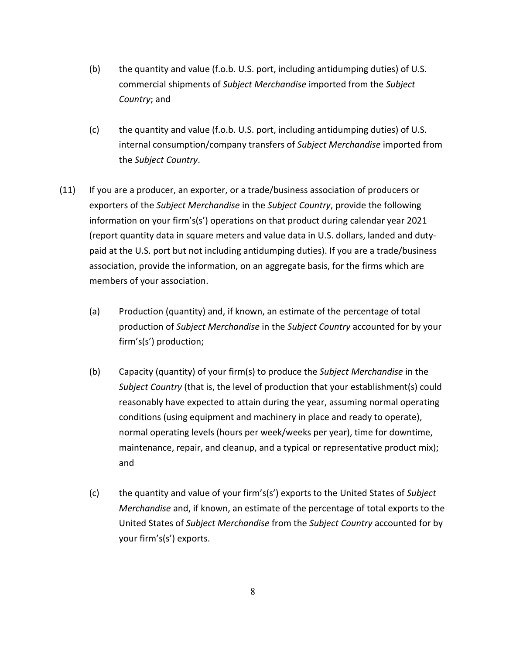- (b) the quantity and value (f.o.b. U.S. port, including antidumping duties) of U.S. commercial shipments of *Subject Merchandise* imported from the *Subject Country*; and
- (c) the quantity and value (f.o.b. U.S. port, including antidumping duties) of U.S. internal consumption/company transfers of *Subject Merchandise* imported from the *Subject Country*.
- (11) If you are a producer, an exporter, or a trade/business association of producers or exporters of the *Subject Merchandise* in the *Subject Country*, provide the following information on your firm's(s') operations on that product during calendar year 2021 (report quantity data in square meters and value data in U.S. dollars, landed and dutypaid at the U.S. port but not including antidumping duties). If you are a trade/business association, provide the information, on an aggregate basis, for the firms which are members of your association.
	- (a) Production (quantity) and, if known, an estimate of the percentage of total production of *Subject Merchandise* in the *Subject Country* accounted for by your firm's(s') production;
	- (b) Capacity (quantity) of your firm(s) to produce the *Subject Merchandise* in the *Subject Country* (that is, the level of production that your establishment(s) could reasonably have expected to attain during the year, assuming normal operating conditions (using equipment and machinery in place and ready to operate), normal operating levels (hours per week/weeks per year), time for downtime, maintenance, repair, and cleanup, and a typical or representative product mix); and
	- (c) the quantity and value of your firm's(s') exports to the United States of *Subject Merchandise* and, if known, an estimate of the percentage of total exports to the United States of *Subject Merchandise* from the *Subject Country* accounted for by your firm's(s') exports.